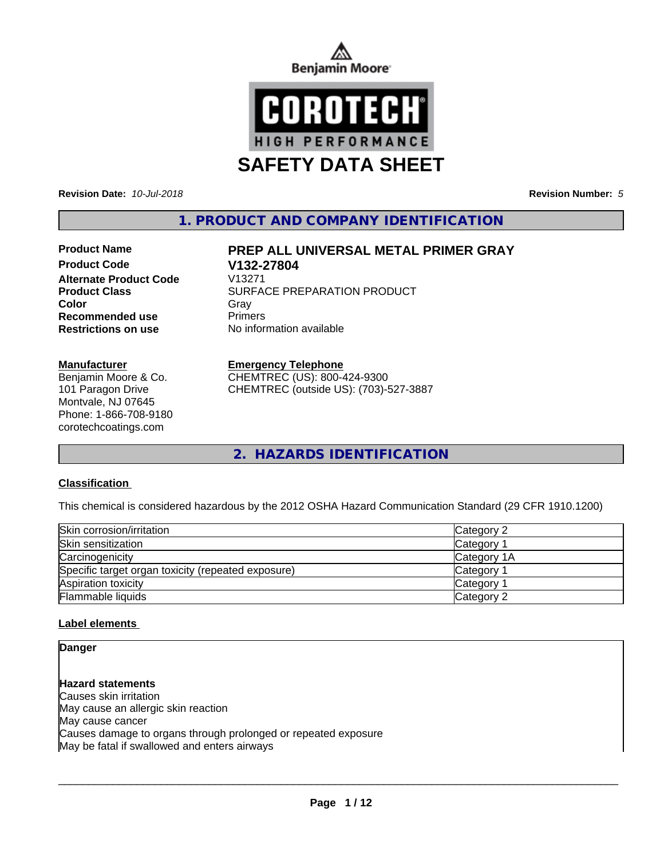



**Revision Date:** *10-Jul-2018* **Revision Number:** *5*

**1. PRODUCT AND COMPANY IDENTIFICATION**

# **Product Code V132-27804 Alternate Product Code Recommended use** Primers

#### **Manufacturer**

Benjamin Moore & Co. 101 Paragon Drive Montvale, NJ 07645 Phone: 1-866-708-9180 corotechcoatings.com

# **Product Name PREP ALL UNIVERSAL METAL PRIMER GRAY**

**Product Class SURFACE PREPARATION PRODUCT Color** Gray Gray **Restrictions on use** No information available

#### **Emergency Telephone**

CHEMTREC (US): 800-424-9300 CHEMTREC (outside US): (703)-527-3887

**2. HAZARDS IDENTIFICATION**

## **Classification**

This chemical is considered hazardous by the 2012 OSHA Hazard Communication Standard (29 CFR 1910.1200)

| Skin corrosion/irritation                          | Category 2            |  |
|----------------------------------------------------|-----------------------|--|
| Skin sensitization                                 | Category              |  |
| Carcinogenicity                                    | Category 1A           |  |
| Specific target organ toxicity (repeated exposure) | Category 1            |  |
| Aspiration toxicity                                | Category <sup>2</sup> |  |
| Flammable liquids                                  | Category 2            |  |

## **Label elements**

## **Danger**

**Hazard statements** Causes skin irritation May cause an allergic skin reaction May cause cancer Causes damage to organs through prolonged or repeated exposure May be fatal if swallowed and enters airways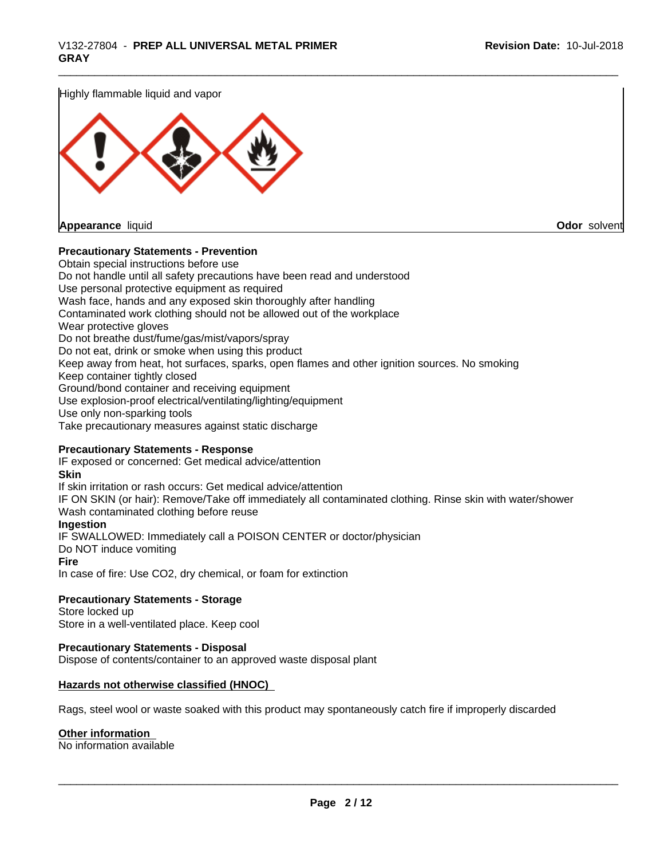Highly flammable liquid and vapor



**Appearance** liquid **Odor** solvent

#### **Precautionary Statements - Prevention**

Obtain special instructions before use Do not handle until all safety precautions have been read and understood Use personal protective equipment as required Wash face, hands and any exposed skin thoroughly after handling Contaminated work clothing should not be allowed out of the workplace Wear protective gloves Do not breathe dust/fume/gas/mist/vapors/spray Do not eat, drink or smoke when using this product Keep away from heat, hot surfaces, sparks, open flames and other ignition sources. No smoking Keep container tightly closed Ground/bond container and receiving equipment Use explosion-proof electrical/ventilating/lighting/equipment Use only non-sparking tools Take precautionary measures against static discharge

#### **Precautionary Statements - Response**

IF exposed or concerned: Get medical advice/attention **Skin** If skin irritation or rash occurs: Get medical advice/attention IF ON SKIN (or hair): Remove/Take off immediately all contaminated clothing. Rinse skin with water/shower Wash contaminated clothing before reuse **Ingestion** IF SWALLOWED: Immediately call a POISON CENTER or doctor/physician Do NOT induce vomiting **Fire** In case of fire: Use CO2, dry chemical, or foam for extinction

**Precautionary Statements - Storage** Store locked up

Store in a well-ventilated place. Keep cool

## **Precautionary Statements - Disposal**

Dispose of contents/container to an approved waste disposal plant

#### **Hazards not otherwise classified (HNOC)**

Rags, steel wool or waste soaked with this product may spontaneously catch fire if improperly discarded

#### **Other information**

No information available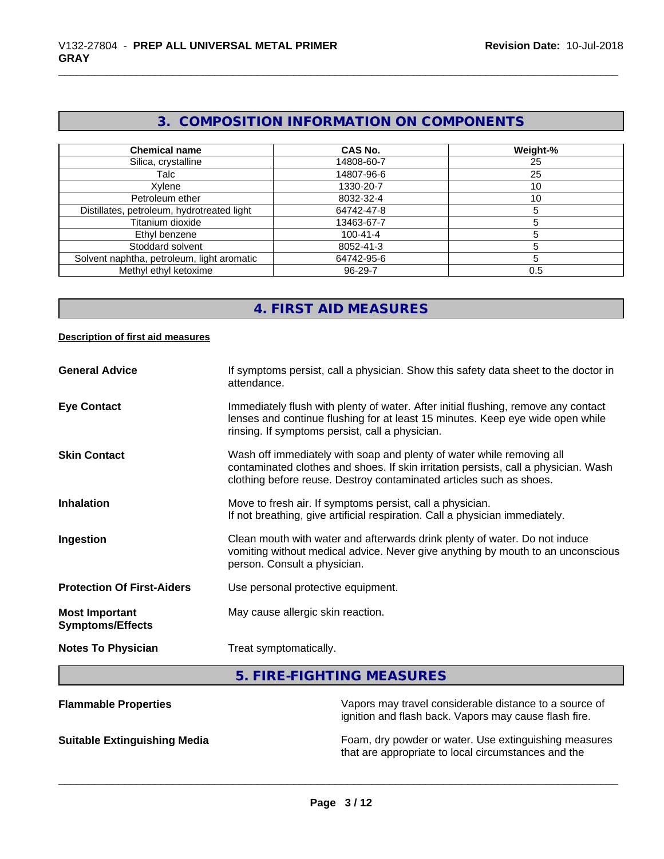# **3. COMPOSITION INFORMATION ON COMPONENTS**

| <b>Chemical name</b>                       | CAS No.        | Weight-% |
|--------------------------------------------|----------------|----------|
| Silica, crystalline                        | 14808-60-7     | 25       |
| Talc                                       | 14807-96-6     | 25       |
| Xvlene                                     | 1330-20-7      | 10       |
| Petroleum ether                            | 8032-32-4      | 10       |
| Distillates, petroleum, hydrotreated light | 64742-47-8     |          |
| Titanium dioxide                           | 13463-67-7     |          |
| Ethyl benzene                              | $100 - 41 - 4$ |          |
| Stoddard solvent                           | 8052-41-3      |          |
| Solvent naphtha, petroleum, light aromatic | 64742-95-6     |          |
| Methyl ethyl ketoxime                      | 96-29-7        | 0.5      |

# **4. FIRST AID MEASURES**

#### **Description of first aid measures**

| <b>General Advice</b>                            | If symptoms persist, call a physician. Show this safety data sheet to the doctor in<br>attendance.                                                                                                                                  |
|--------------------------------------------------|-------------------------------------------------------------------------------------------------------------------------------------------------------------------------------------------------------------------------------------|
| <b>Eye Contact</b>                               | Immediately flush with plenty of water. After initial flushing, remove any contact<br>lenses and continue flushing for at least 15 minutes. Keep eye wide open while<br>rinsing. If symptoms persist, call a physician.             |
| <b>Skin Contact</b>                              | Wash off immediately with soap and plenty of water while removing all<br>contaminated clothes and shoes. If skin irritation persists, call a physician. Wash<br>clothing before reuse. Destroy contaminated articles such as shoes. |
| <b>Inhalation</b>                                | Move to fresh air. If symptoms persist, call a physician.<br>If not breathing, give artificial respiration. Call a physician immediately.                                                                                           |
| Ingestion                                        | Clean mouth with water and afterwards drink plenty of water. Do not induce<br>vomiting without medical advice. Never give anything by mouth to an unconscious<br>person. Consult a physician.                                       |
| <b>Protection Of First-Aiders</b>                | Use personal protective equipment.                                                                                                                                                                                                  |
| <b>Most Important</b><br><b>Symptoms/Effects</b> | May cause allergic skin reaction.                                                                                                                                                                                                   |
| <b>Notes To Physician</b>                        | Treat symptomatically.                                                                                                                                                                                                              |
|                                                  | 5. FIRE-FIGHTING MEASURES                                                                                                                                                                                                           |
| <b>Flammable Properties</b>                      | Vapors may travel considerable distance to a source of                                                                                                                                                                              |

ignition and flash back. Vapors may cause flash fire.

**Suitable Extinguishing Media** Foam, dry powder or water. Use extinguishing measures that are appropriate to local circumstances and the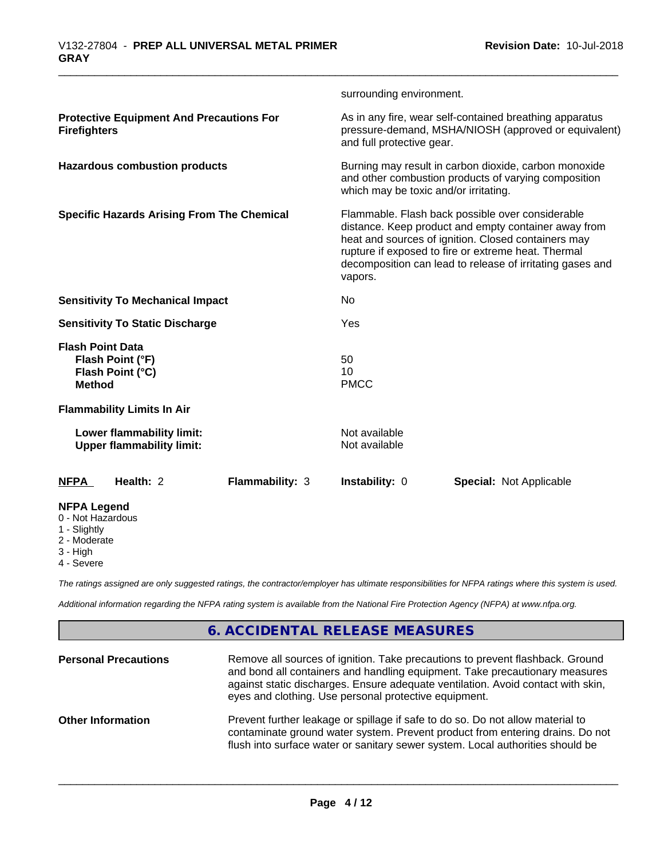|                                                                                  |                        | surrounding environment.                                                                                                                                                                                                                                                                       |                                                                                                                 |  |
|----------------------------------------------------------------------------------|------------------------|------------------------------------------------------------------------------------------------------------------------------------------------------------------------------------------------------------------------------------------------------------------------------------------------|-----------------------------------------------------------------------------------------------------------------|--|
| <b>Protective Equipment And Precautions For</b><br><b>Firefighters</b>           |                        | and full protective gear.                                                                                                                                                                                                                                                                      | As in any fire, wear self-contained breathing apparatus<br>pressure-demand, MSHA/NIOSH (approved or equivalent) |  |
| <b>Hazardous combustion products</b>                                             |                        | Burning may result in carbon dioxide, carbon monoxide<br>and other combustion products of varying composition<br>which may be toxic and/or irritating.                                                                                                                                         |                                                                                                                 |  |
| <b>Specific Hazards Arising From The Chemical</b>                                |                        | Flammable. Flash back possible over considerable<br>distance. Keep product and empty container away from<br>heat and sources of ignition. Closed containers may<br>rupture if exposed to fire or extreme heat. Thermal<br>decomposition can lead to release of irritating gases and<br>vapors. |                                                                                                                 |  |
| <b>Sensitivity To Mechanical Impact</b>                                          |                        | No                                                                                                                                                                                                                                                                                             |                                                                                                                 |  |
| <b>Sensitivity To Static Discharge</b>                                           |                        | Yes                                                                                                                                                                                                                                                                                            |                                                                                                                 |  |
| <b>Flash Point Data</b><br>Flash Point (°F)<br>Flash Point (°C)<br><b>Method</b> |                        | 50<br>10<br><b>PMCC</b>                                                                                                                                                                                                                                                                        |                                                                                                                 |  |
| <b>Flammability Limits In Air</b>                                                |                        |                                                                                                                                                                                                                                                                                                |                                                                                                                 |  |
| Lower flammability limit:<br><b>Upper flammability limit:</b>                    |                        | Not available<br>Not available                                                                                                                                                                                                                                                                 |                                                                                                                 |  |
| Health: 2<br>NFPA                                                                | <b>Flammability: 3</b> | <b>Instability: 0</b>                                                                                                                                                                                                                                                                          | <b>Special: Not Applicable</b>                                                                                  |  |
| <b>NFPA Legend</b><br>0 - Not Hazardous<br>1 - Slightly<br>2 - Moderate          |                        |                                                                                                                                                                                                                                                                                                |                                                                                                                 |  |

2 - Moderate

- 3 High
- 4 Severe

*The ratings assigned are only suggested ratings, the contractor/employer has ultimate responsibilities for NFPA ratings where this system is used.*

*Additional information regarding the NFPA rating system is available from the National Fire Protection Agency (NFPA) at www.nfpa.org.*

# **6. ACCIDENTAL RELEASE MEASURES**

| <b>Personal Precautions</b> | Remove all sources of ignition. Take precautions to prevent flashback. Ground<br>and bond all containers and handling equipment. Take precautionary measures<br>against static discharges. Ensure adequate ventilation. Avoid contact with skin,<br>eyes and clothing. Use personal protective equipment. |
|-----------------------------|-----------------------------------------------------------------------------------------------------------------------------------------------------------------------------------------------------------------------------------------------------------------------------------------------------------|
| <b>Other Information</b>    | Prevent further leakage or spillage if safe to do so. Do not allow material to<br>contaminate ground water system. Prevent product from entering drains. Do not<br>flush into surface water or sanitary sewer system. Local authorities should be                                                         |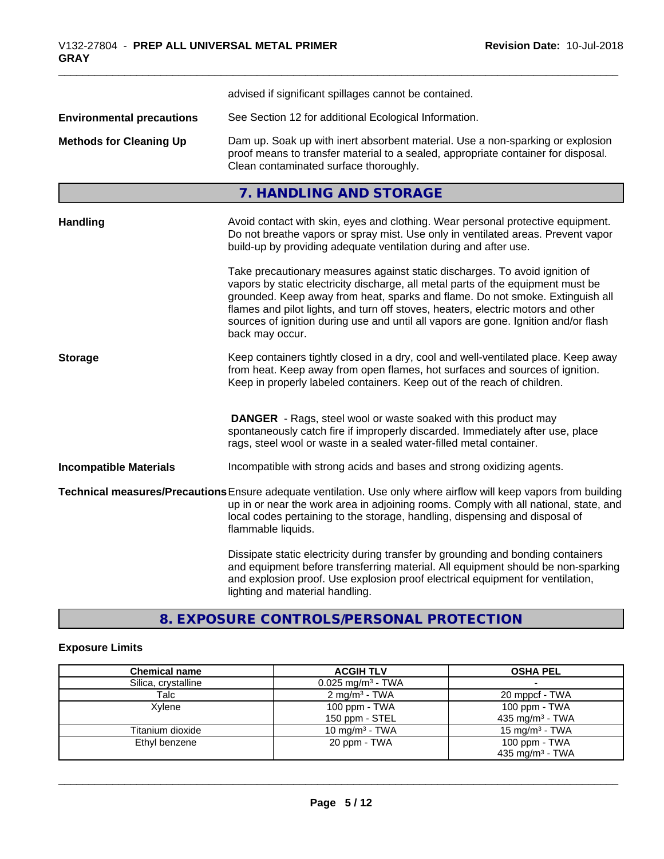|                                  | advised if significant spillages cannot be contained.                                                                                                                                                                                                                                                                                                                                                                                          |
|----------------------------------|------------------------------------------------------------------------------------------------------------------------------------------------------------------------------------------------------------------------------------------------------------------------------------------------------------------------------------------------------------------------------------------------------------------------------------------------|
| <b>Environmental precautions</b> | See Section 12 for additional Ecological Information.                                                                                                                                                                                                                                                                                                                                                                                          |
| <b>Methods for Cleaning Up</b>   | Dam up. Soak up with inert absorbent material. Use a non-sparking or explosion<br>proof means to transfer material to a sealed, appropriate container for disposal.<br>Clean contaminated surface thoroughly.                                                                                                                                                                                                                                  |
|                                  | 7. HANDLING AND STORAGE                                                                                                                                                                                                                                                                                                                                                                                                                        |
| <b>Handling</b>                  | Avoid contact with skin, eyes and clothing. Wear personal protective equipment.<br>Do not breathe vapors or spray mist. Use only in ventilated areas. Prevent vapor<br>build-up by providing adequate ventilation during and after use.                                                                                                                                                                                                        |
|                                  | Take precautionary measures against static discharges. To avoid ignition of<br>vapors by static electricity discharge, all metal parts of the equipment must be<br>grounded. Keep away from heat, sparks and flame. Do not smoke. Extinguish all<br>flames and pilot lights, and turn off stoves, heaters, electric motors and other<br>sources of ignition during use and until all vapors are gone. Ignition and/or flash<br>back may occur. |
| <b>Storage</b>                   | Keep containers tightly closed in a dry, cool and well-ventilated place. Keep away<br>from heat. Keep away from open flames, hot surfaces and sources of ignition.<br>Keep in properly labeled containers. Keep out of the reach of children.                                                                                                                                                                                                  |
|                                  | <b>DANGER</b> - Rags, steel wool or waste soaked with this product may<br>spontaneously catch fire if improperly discarded. Immediately after use, place<br>rags, steel wool or waste in a sealed water-filled metal container.                                                                                                                                                                                                                |
| <b>Incompatible Materials</b>    | Incompatible with strong acids and bases and strong oxidizing agents.                                                                                                                                                                                                                                                                                                                                                                          |
|                                  | Technical measures/Precautions Ensure adequate ventilation. Use only where airflow will keep vapors from building<br>up in or near the work area in adjoining rooms. Comply with all national, state, and<br>local codes pertaining to the storage, handling, dispensing and disposal of<br>flammable liquids.                                                                                                                                 |
|                                  | Dissipate static electricity during transfer by grounding and bonding containers<br>and equipment before transferring material. All equipment should be non-sparking<br>and explosion proof. Use explosion proof electrical equipment for ventilation,<br>lighting and material handling.                                                                                                                                                      |

# **8. EXPOSURE CONTROLS/PERSONAL PROTECTION**

# **Exposure Limits**

| <b>Chemical name</b> | <b>ACGIH TLV</b>                | <b>OSHA PEL</b>             |
|----------------------|---------------------------------|-----------------------------|
| Silica, crystalline  | $0.025$ mg/m <sup>3</sup> - TWA |                             |
| Talc                 | $2 \text{ mg/m}^3$ - TWA        | 20 mppcf - TWA              |
| Xvlene               | 100 ppm - TWA                   | 100 ppm - TWA               |
|                      | 150 ppm - STEL                  | 435 mg/m <sup>3</sup> - TWA |
| Titanium dioxide     | 10 mg/m <sup>3</sup> - TWA      | 15 mg/m $3$ - TWA           |
| Ethyl benzene        | 20 ppm - TWA                    | 100 ppm - TWA               |
|                      |                                 | 435 mg/m <sup>3</sup> - TWA |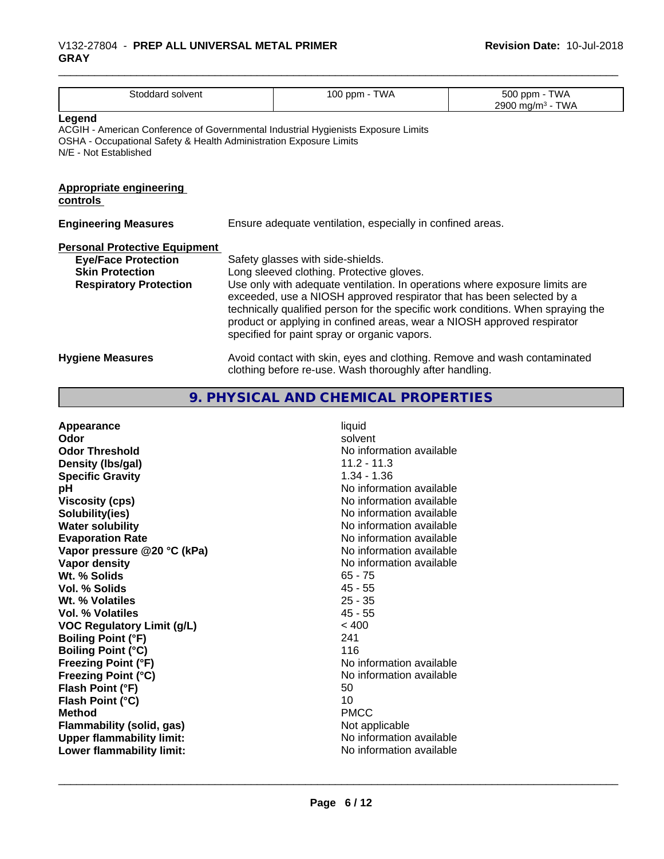| Stoddard solvent                                                                                                                                                                           |                                                                                                                                                                                                                                                                                                                                                                                                                                                       | 100 ppm - TWA                                                                                                                       | 500 ppm - TWA<br>2900 mg/m <sup>3</sup> - TWA |
|--------------------------------------------------------------------------------------------------------------------------------------------------------------------------------------------|-------------------------------------------------------------------------------------------------------------------------------------------------------------------------------------------------------------------------------------------------------------------------------------------------------------------------------------------------------------------------------------------------------------------------------------------------------|-------------------------------------------------------------------------------------------------------------------------------------|-----------------------------------------------|
| Legend<br>ACGIH - American Conference of Governmental Industrial Hygienists Exposure Limits<br>OSHA - Occupational Safety & Health Administration Exposure Limits<br>N/E - Not Established |                                                                                                                                                                                                                                                                                                                                                                                                                                                       |                                                                                                                                     |                                               |
| <b>Appropriate engineering</b><br>controls                                                                                                                                                 |                                                                                                                                                                                                                                                                                                                                                                                                                                                       |                                                                                                                                     |                                               |
| <b>Engineering Measures</b>                                                                                                                                                                | Ensure adequate ventilation, especially in confined areas.                                                                                                                                                                                                                                                                                                                                                                                            |                                                                                                                                     |                                               |
| <b>Personal Protective Equipment</b><br><b>Eye/Face Protection</b><br><b>Skin Protection</b><br><b>Respiratory Protection</b>                                                              | Safety glasses with side-shields.<br>Long sleeved clothing. Protective gloves.<br>Use only with adequate ventilation. In operations where exposure limits are<br>exceeded, use a NIOSH approved respirator that has been selected by a<br>technically qualified person for the specific work conditions. When spraying the<br>product or applying in confined areas, wear a NIOSH approved respirator<br>specified for paint spray or organic vapors. |                                                                                                                                     |                                               |
| <b>Hygiene Measures</b>                                                                                                                                                                    |                                                                                                                                                                                                                                                                                                                                                                                                                                                       | Avoid contact with skin, eyes and clothing. Remove and wash contaminated<br>clothing before re-use. Wash thoroughly after handling. |                                               |

# **9. PHYSICAL AND CHEMICAL PROPERTIES**

| Appearance                        | liquid                   |
|-----------------------------------|--------------------------|
| Odor                              | solvent                  |
| <b>Odor Threshold</b>             | No information available |
| Density (Ibs/gal)                 | $11.2 - 11.3$            |
| <b>Specific Gravity</b>           | $1.34 - 1.36$            |
| pH                                | No information available |
| <b>Viscosity (cps)</b>            | No information available |
| Solubility(ies)                   | No information available |
| <b>Water solubility</b>           | No information available |
| <b>Evaporation Rate</b>           | No information available |
| Vapor pressure @20 °C (kPa)       | No information available |
| Vapor density                     | No information available |
| Wt. % Solids                      | $65 - 75$                |
| Vol. % Solids                     | $45 - 55$                |
| Wt. % Volatiles                   | $25 - 35$                |
| <b>Vol. % Volatiles</b>           | $45 - 55$                |
| <b>VOC Regulatory Limit (g/L)</b> | < 400                    |
| <b>Boiling Point (°F)</b>         | 241                      |
| <b>Boiling Point (°C)</b>         | 116                      |
| <b>Freezing Point (°F)</b>        | No information available |
| <b>Freezing Point (°C)</b>        | No information available |
| Flash Point (°F)                  | 50                       |
|                                   |                          |
| Flash Point (°C)                  | 10                       |
| <b>Method</b>                     | <b>PMCC</b>              |
| Flammability (solid, gas)         | Not applicable           |
| <b>Upper flammability limit:</b>  | No information available |
| Lower flammability limit:         | No information available |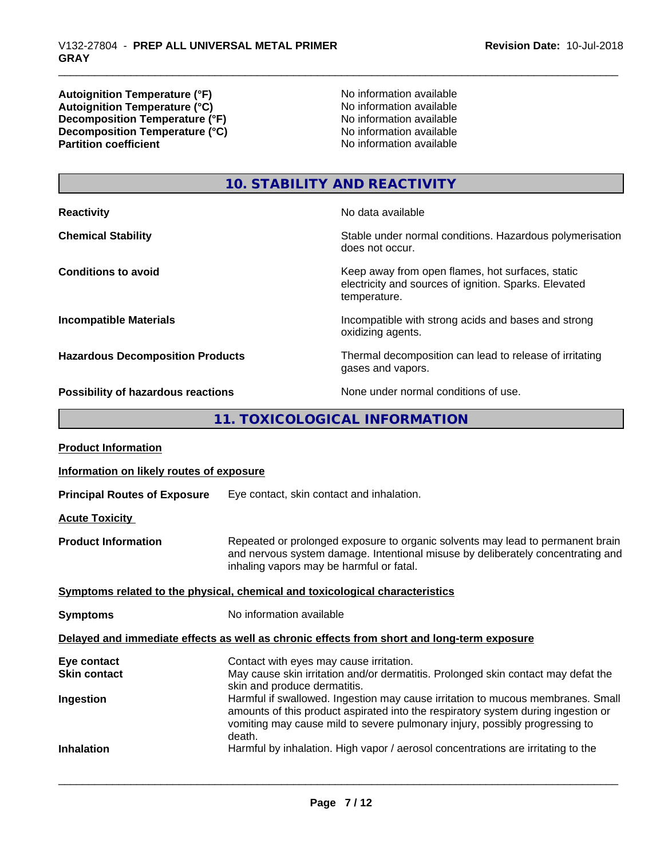**Autoignition Temperature (°F)**<br> **Autoignition Temperature (°C)**<br> **Autoignition Temperature (°C)**<br> **Autoignition Temperature (°C)** Autoignition **Temperature** (°C) Mo information available<br>Decomposition **Temperature** (°F) No information available **Decomposition Temperature (°F)**<br> **Decomposition Temperature (°C)**<br>
No information available<br>
No information available **Decomposition Temperature**  $\hat{c}$ **<sup>o</sup>C**)<br>**Partition coefficient** 

**No information available** 

# **10. STABILITY AND REACTIVITY**

| <b>Reactivity</b>                       | No data available                                                                                                         |
|-----------------------------------------|---------------------------------------------------------------------------------------------------------------------------|
| <b>Chemical Stability</b>               | Stable under normal conditions. Hazardous polymerisation<br>does not occur.                                               |
| <b>Conditions to avoid</b>              | Keep away from open flames, hot surfaces, static<br>electricity and sources of ignition. Sparks. Elevated<br>temperature. |
| <b>Incompatible Materials</b>           | Incompatible with strong acids and bases and strong<br>oxidizing agents.                                                  |
| <b>Hazardous Decomposition Products</b> | Thermal decomposition can lead to release of irritating<br>gases and vapors.                                              |
|                                         | Albana - Albana and an albana Help and albana                                                                             |

**Possibility of hazardous reactions** None under normal conditions of use.

**11. TOXICOLOGICAL INFORMATION**

| <b>Product Information</b>               |                                                                                                                                                                                                                                                               |
|------------------------------------------|---------------------------------------------------------------------------------------------------------------------------------------------------------------------------------------------------------------------------------------------------------------|
| Information on likely routes of exposure |                                                                                                                                                                                                                                                               |
| <b>Principal Routes of Exposure</b>      | Eye contact, skin contact and inhalation.                                                                                                                                                                                                                     |
| <b>Acute Toxicity</b>                    |                                                                                                                                                                                                                                                               |
| <b>Product Information</b>               | Repeated or prolonged exposure to organic solvents may lead to permanent brain<br>and nervous system damage. Intentional misuse by deliberately concentrating and<br>inhaling vapors may be harmful or fatal.                                                 |
|                                          | Symptoms related to the physical, chemical and toxicological characteristics                                                                                                                                                                                  |
| <b>Symptoms</b>                          | No information available                                                                                                                                                                                                                                      |
|                                          | Delayed and immediate effects as well as chronic effects from short and long-term exposure                                                                                                                                                                    |
| Eye contact                              | Contact with eyes may cause irritation.                                                                                                                                                                                                                       |
| <b>Skin contact</b>                      | May cause skin irritation and/or dermatitis. Prolonged skin contact may defat the<br>skin and produce dermatitis.                                                                                                                                             |
| Ingestion                                | Harmful if swallowed. Ingestion may cause irritation to mucous membranes. Small<br>amounts of this product aspirated into the respiratory system during ingestion or<br>vomiting may cause mild to severe pulmonary injury, possibly progressing to<br>death. |
| <b>Inhalation</b>                        | Harmful by inhalation. High vapor / aerosol concentrations are irritating to the                                                                                                                                                                              |
|                                          |                                                                                                                                                                                                                                                               |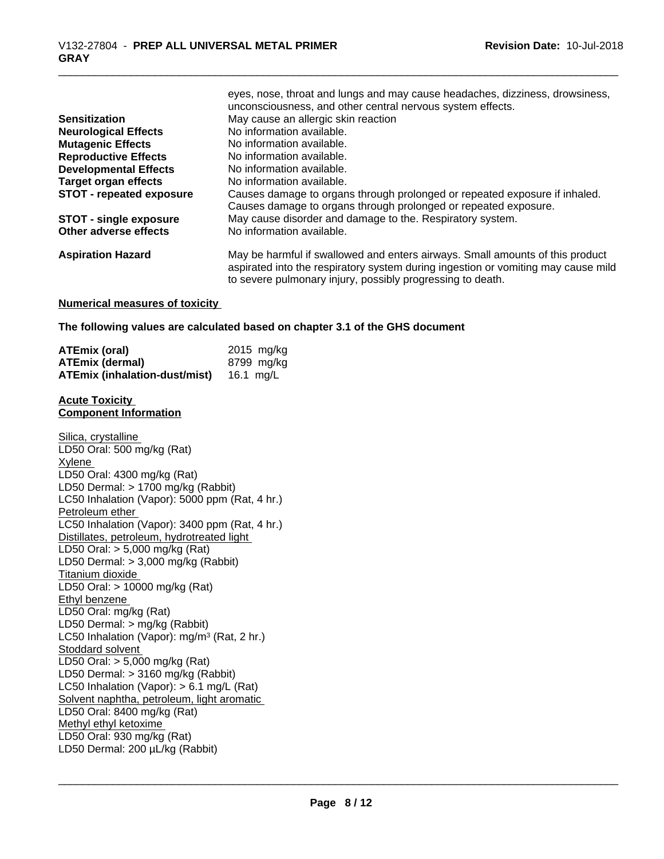|                                 | unconsciousness, and other central nervous system effects.                        |
|---------------------------------|-----------------------------------------------------------------------------------|
| <b>Sensitization</b>            | May cause an allergic skin reaction                                               |
| <b>Neurological Effects</b>     | No information available.                                                         |
| <b>Mutagenic Effects</b>        | No information available.                                                         |
| <b>Reproductive Effects</b>     | No information available.                                                         |
| <b>Developmental Effects</b>    | No information available.                                                         |
| <b>Target organ effects</b>     | No information available.                                                         |
| <b>STOT - repeated exposure</b> | Causes damage to organs through prolonged or repeated exposure if inhaled.        |
|                                 | Causes damage to organs through prolonged or repeated exposure.                   |
| <b>STOT - single exposure</b>   | May cause disorder and damage to the. Respiratory system.                         |
| Other adverse effects           | No information available.                                                         |
| <b>Aspiration Hazard</b>        | May be harmful if swallowed and enters airways. Small amounts of this product     |
|                                 | aspirated into the respiratory system during ingestion or vomiting may cause mild |
|                                 | to severe pulmonary injury, possibly progressing to death.                        |

eyes, nose, throat and lungs and may cause headaches, dizziness, drowsiness,

#### **Numerical measures of toxicity**

#### **The following values are calculated based on chapter 3.1 of the GHS document**

| <b>ATEmix (oral)</b>                 | $2015$ mg/kg |
|--------------------------------------|--------------|
| <b>ATEmix (dermal)</b>               | 8799 mg/ka   |
| <b>ATEmix (inhalation-dust/mist)</b> | 16.1 mg/L    |

#### **Acute Toxicity Component Information**

Silica, crystalline LD50 Oral: 500 mg/kg (Rat) Xylene LD50 Oral: 4300 mg/kg (Rat) LD50 Dermal: > 1700 mg/kg (Rabbit) LC50 Inhalation (Vapor): 5000 ppm (Rat, 4 hr.) Petroleum ether LC50 Inhalation (Vapor): 3400 ppm (Rat, 4 hr.) Distillates, petroleum, hydrotreated light LD50 Oral: > 5,000 mg/kg (Rat) LD50 Dermal: > 3,000 mg/kg (Rabbit) Titanium dioxide LD50 Oral: > 10000 mg/kg (Rat) Ethyl benzene LD50 Oral: mg/kg (Rat) LD50 Dermal: > mg/kg (Rabbit) LC50 Inhalation (Vapor): mg/m<sup>3</sup> (Rat, 2 hr.) Stoddard solvent LD50 Oral: > 5,000 mg/kg (Rat) LD50 Dermal: > 3160 mg/kg (Rabbit) LC50 Inhalation (Vapor): > 6.1 mg/L (Rat) Solvent naphtha, petroleum, light aromatic LD50 Oral: 8400 mg/kg (Rat) Methyl ethyl ketoxime LD50 Oral: 930 mg/kg (Rat) LD50 Dermal: 200 µL/kg (Rabbit)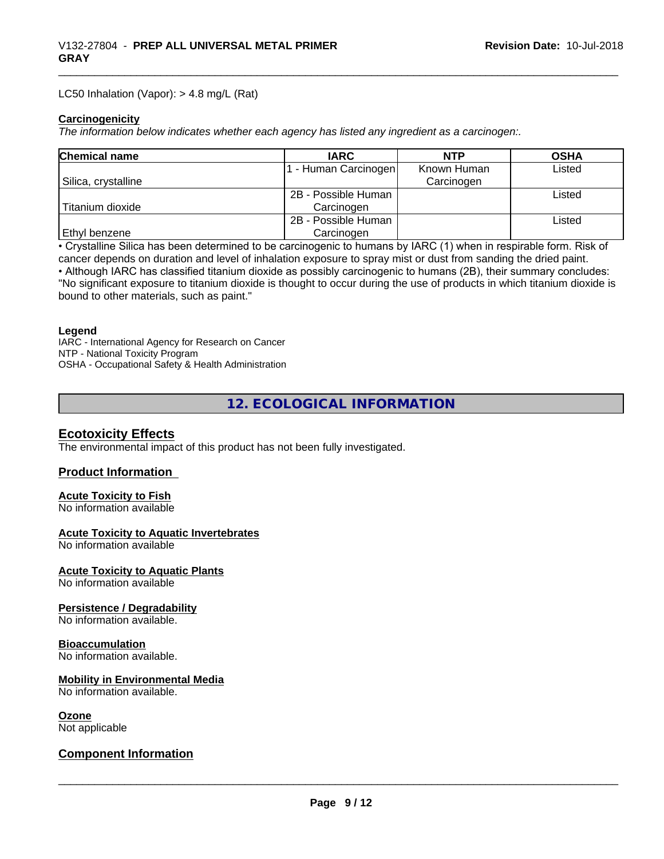#### LC50 Inhalation (Vapor): > 4.8 mg/L (Rat)

#### **Carcinogenicity**

*The information below indicateswhether each agency has listed any ingredient as a carcinogen:.*

| <b>Chemical name</b> | <b>IARC</b>         | <b>NTP</b>  | <b>OSHA</b> |
|----------------------|---------------------|-------------|-------------|
|                      | - Human Carcinogen  | Known Human | Listed      |
| Silica, crystalline  |                     | Carcinogen  |             |
|                      | 2B - Possible Human |             | Listed      |
| Titanium dioxide     | Carcinogen          |             |             |
|                      | 2B - Possible Human |             | Listed      |
| <b>Ethyl benzene</b> | Carcinogen          |             |             |

• Crystalline Silica has been determined to be carcinogenic to humans by IARC (1) when in respirable form. Risk of cancer depends on duration and level of inhalation exposure to spray mist or dust from sanding the dried paint.

• Although IARC has classified titanium dioxide as possibly carcinogenic to humans (2B), their summary concludes: "No significant exposure to titanium dioxide is thought to occur during the use of products in which titanium dioxide is bound to other materials, such as paint."

#### **Legend**

IARC - International Agency for Research on Cancer NTP - National Toxicity Program OSHA - Occupational Safety & Health Administration

**12. ECOLOGICAL INFORMATION**

## **Ecotoxicity Effects**

The environmental impact of this product has not been fully investigated.

## **Product Information**

# **Acute Toxicity to Fish**

No information available

#### **Acute Toxicity to Aquatic Invertebrates**

No information available

## **Acute Toxicity to Aquatic Plants**

No information available

## **Persistence / Degradability**

No information available.

## **Bioaccumulation**

No information available.

## **Mobility in Environmental Media**

No information available.

# **Ozone**

Not applicable

# **Component Information**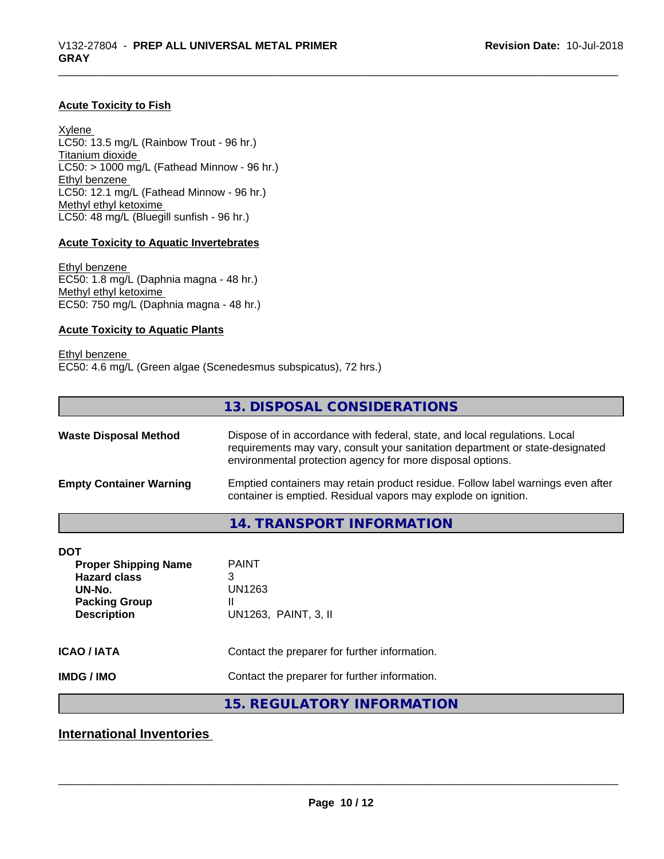#### **Acute Toxicity to Fish**

Xylene LC50: 13.5 mg/L (Rainbow Trout - 96 hr.) Titanium dioxide  $LCS0: > 1000$  mg/L (Fathead Minnow - 96 hr.) Ethyl benzene LC50: 12.1 mg/L (Fathead Minnow - 96 hr.) Methyl ethyl ketoxime LC50: 48 mg/L (Bluegill sunfish - 96 hr.)

## **Acute Toxicity to Aquatic Invertebrates**

Ethyl benzene EC50: 1.8 mg/L (Daphnia magna - 48 hr.) Methyl ethyl ketoxime EC50: 750 mg/L (Daphnia magna - 48 hr.)

#### **Acute Toxicity to Aquatic Plants**

Ethyl benzene EC50: 4.6 mg/L (Green algae (Scenedesmus subspicatus), 72 hrs.)

|                                                                                                    | 13. DISPOSAL CONSIDERATIONS                                                                                                                                                                                               |  |
|----------------------------------------------------------------------------------------------------|---------------------------------------------------------------------------------------------------------------------------------------------------------------------------------------------------------------------------|--|
| <b>Waste Disposal Method</b>                                                                       | Dispose of in accordance with federal, state, and local regulations. Local<br>requirements may vary, consult your sanitation department or state-designated<br>environmental protection agency for more disposal options. |  |
| <b>Empty Container Warning</b>                                                                     | Emptied containers may retain product residue. Follow label warnings even after<br>container is emptied. Residual vapors may explode on ignition.                                                                         |  |
|                                                                                                    | 14. TRANSPORT INFORMATION                                                                                                                                                                                                 |  |
| <b>DOT</b><br><b>Proper Shipping Name</b><br><b>Hazard class</b><br>UN-No.<br><b>Packing Group</b> | <b>PAINT</b><br>3<br>UN1263<br>Ш                                                                                                                                                                                          |  |
| <b>Description</b>                                                                                 | UN1263, PAINT, 3, II                                                                                                                                                                                                      |  |

# **ICAO / IATA** Contact the preparer for further information.

**IMDG / IMO** Contact the preparer for further information.

# **15. REGULATORY INFORMATION**

**International Inventories**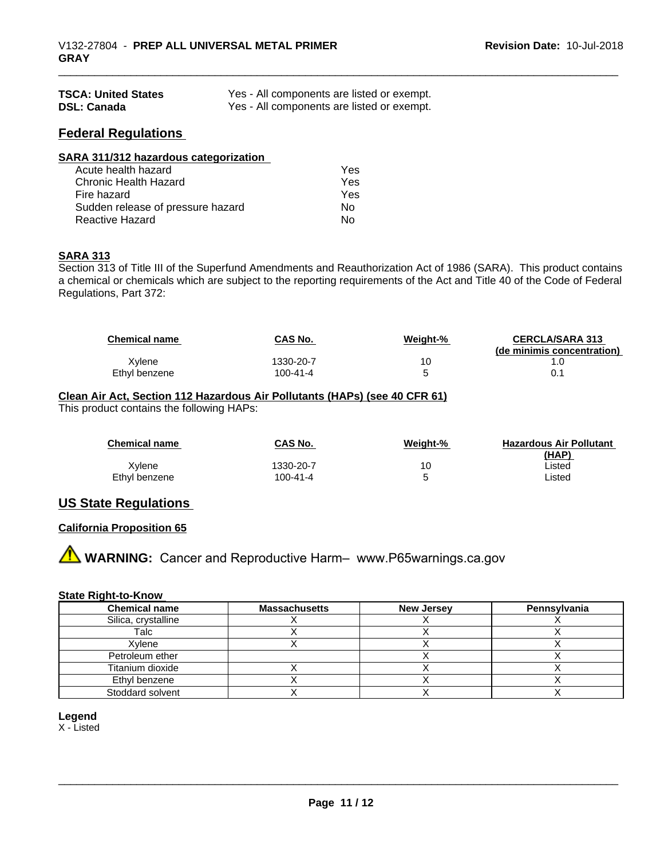| <b>TSCA: United States</b> | Yes - All components are listed or exempt. |
|----------------------------|--------------------------------------------|
| <b>DSL: Canada</b>         | Yes - All components are listed or exempt. |

## **Federal Regulations**

| SARA 311/312 hazardous categorization |     |  |
|---------------------------------------|-----|--|
| Acute health hazard                   | Yes |  |
| Chronic Health Hazard                 | Yes |  |
| Fire hazard                           | Yes |  |
| Sudden release of pressure hazard     | Nο  |  |
| <b>Reactive Hazard</b>                | No  |  |

#### **SARA 313**

Section 313 of Title III of the Superfund Amendments and Reauthorization Act of 1986 (SARA). This product contains a chemical or chemicals which are subject to the reporting requirements of the Act and Title 40 of the Code of Federal Regulations, Part 372:

| <b>Chemical name</b> | <b>CAS No.</b> | Weight-% | <b>CERCLA/SARA 313</b><br>(de minimis concentration) |
|----------------------|----------------|----------|------------------------------------------------------|
| Xvlene               | 1330-20-7      | 10       |                                                      |
| Ethyl benzene        | 100-41-4       |          |                                                      |

#### **Clean Air Act,Section 112 Hazardous Air Pollutants (HAPs) (see 40 CFR 61)** This product contains the following HAPs:

| <b>Chemical name</b> | CAS No.   | Weight-% | <b>Hazardous Air Pollutant</b><br>(HAP) |
|----------------------|-----------|----------|-----------------------------------------|
| Xvlene               | 1330-20-7 | 10       | ∟isted                                  |
| Ethyl benzene        | 100-41-4  |          | ∟isted                                  |

# **US State Regulations**

## **California Proposition 65**

**A WARNING:** Cancer and Reproductive Harm– www.P65warnings.ca.gov

#### **State Right-to-Know**

| <b>Chemical name</b> | <b>Massachusetts</b> | <b>New Jersey</b> | Pennsylvania |
|----------------------|----------------------|-------------------|--------------|
| Silica, crystalline  |                      |                   |              |
| Talc                 |                      |                   |              |
| Xvlene               |                      |                   |              |
| Petroleum ether      |                      |                   |              |
| Titanium dioxide     |                      |                   |              |
| Ethyl benzene        |                      |                   |              |
| Stoddard solvent     |                      |                   |              |

## **Legend**

X - Listed